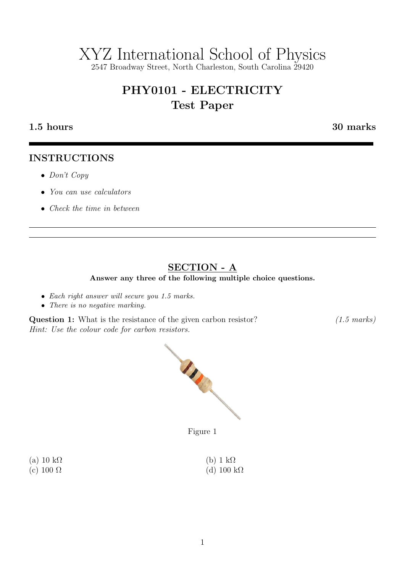# XYZ International School of Physics

2547 Broadway Street, North Charleston, South Carolina 29420

## PHY0101 - ELECTRICITY Test Paper

#### 1.5 hours 30 marks

#### INSTRUCTIONS

- Don't Copy
- You can use calculators
- Check the time in between

### SECTION - A

Answer any three of the following multiple choice questions.

- Each right answer will secure you 1.5 marks.
- There is no negative marking.

Question 1: What is the resistance of the given carbon resistor? (1.5 marks) Hint: Use the colour code for carbon resistors.



Figure 1

| (a) 10 k $\Omega$ | (b) $1 \text{ k}\Omega$ |
|-------------------|-------------------------|
| (c) 100 $\Omega$  | (d) 100 k $\Omega$      |